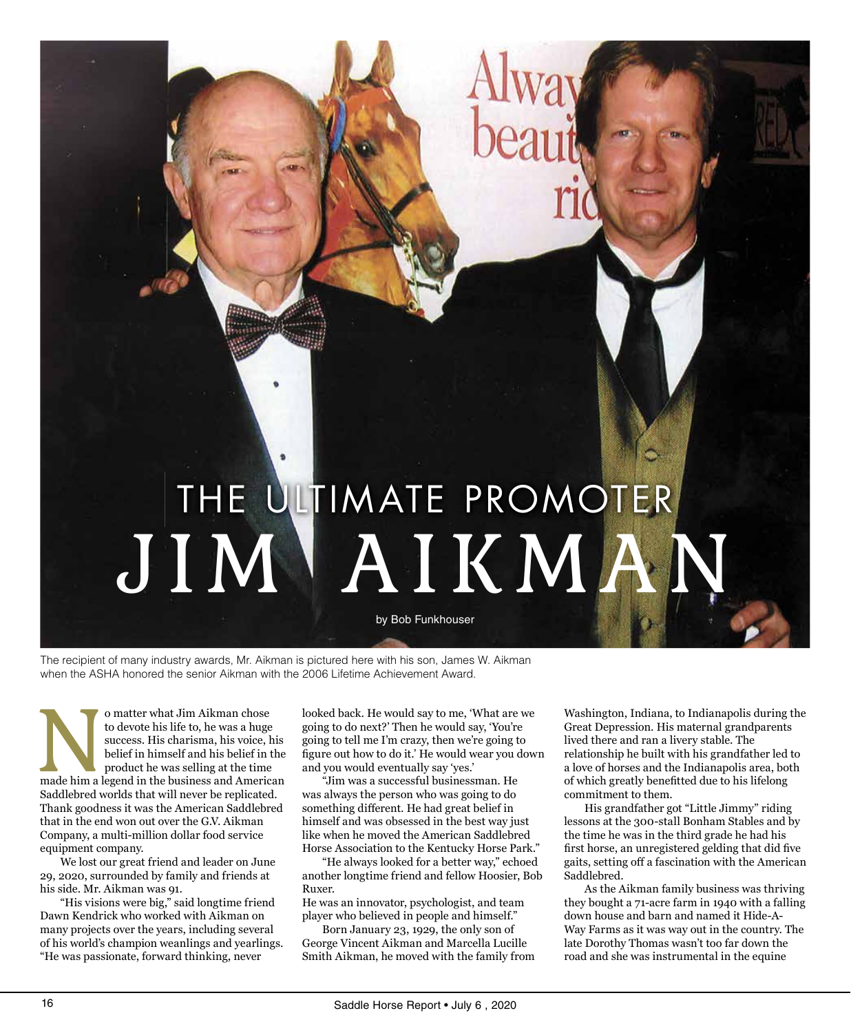

The recipient of many industry awards, Mr. Aikman is pictured here with his son, James W. Aikman when the ASHA honored the senior Aikman with the 2006 Lifetime Achievement Award.

o matter what Jim Aikman chose<br>to devote his life to, he was a huge<br>success. His charisma, his voice, his<br>belief in himself and his belief in the<br>product he was selling at the time<br>made him a legend in the business and Ame to devote his life to, he was a huge success. His charisma, his voice, his belief in himself and his belief in the product he was selling at the time Saddlebred worlds that will never be replicated. Thank goodness it was the American Saddlebred that in the end won out over the G.V. Aikman Company, a multi-million dollar food service equipment company.

 We lost our great friend and leader on June 29, 2020, surrounded by family and friends at his side. Mr. Aikman was 91.

 "His visions were big," said longtime friend Dawn Kendrick who worked with Aikman on many projects over the years, including several of his world's champion weanlings and yearlings. "He was passionate, forward thinking, never

looked back. He would say to me, 'What are we going to do next?' Then he would say, 'You're going to tell me I'm crazy, then we're going to figure out how to do it.' He would wear you down and you would eventually say 'yes.'

 "Jim was a successful businessman. He was always the person who was going to do something different. He had great belief in himself and was obsessed in the best way just like when he moved the American Saddlebred Horse Association to the Kentucky Horse Park."

 "He always looked for a better way," echoed another longtime friend and fellow Hoosier, Bob Ruxer.

He was an innovator, psychologist, and team player who believed in people and himself."

 Born January 23, 1929, the only son of George Vincent Aikman and Marcella Lucille Smith Aikman, he moved with the family from Washington, Indiana, to Indianapolis during the Great Depression. His maternal grandparents lived there and ran a livery stable. The relationship he built with his grandfather led to a love of horses and the Indianapolis area, both of which greatly benefitted due to his lifelong commitment to them.

 His grandfather got "Little Jimmy" riding lessons at the 300-stall Bonham Stables and by the time he was in the third grade he had his first horse, an unregistered gelding that did five gaits, setting off a fascination with the American Saddlebred.

 As the Aikman family business was thriving they bought a 71-acre farm in 1940 with a falling down house and barn and named it Hide-A-Way Farms as it was way out in the country. The late Dorothy Thomas wasn't too far down the road and she was instrumental in the equine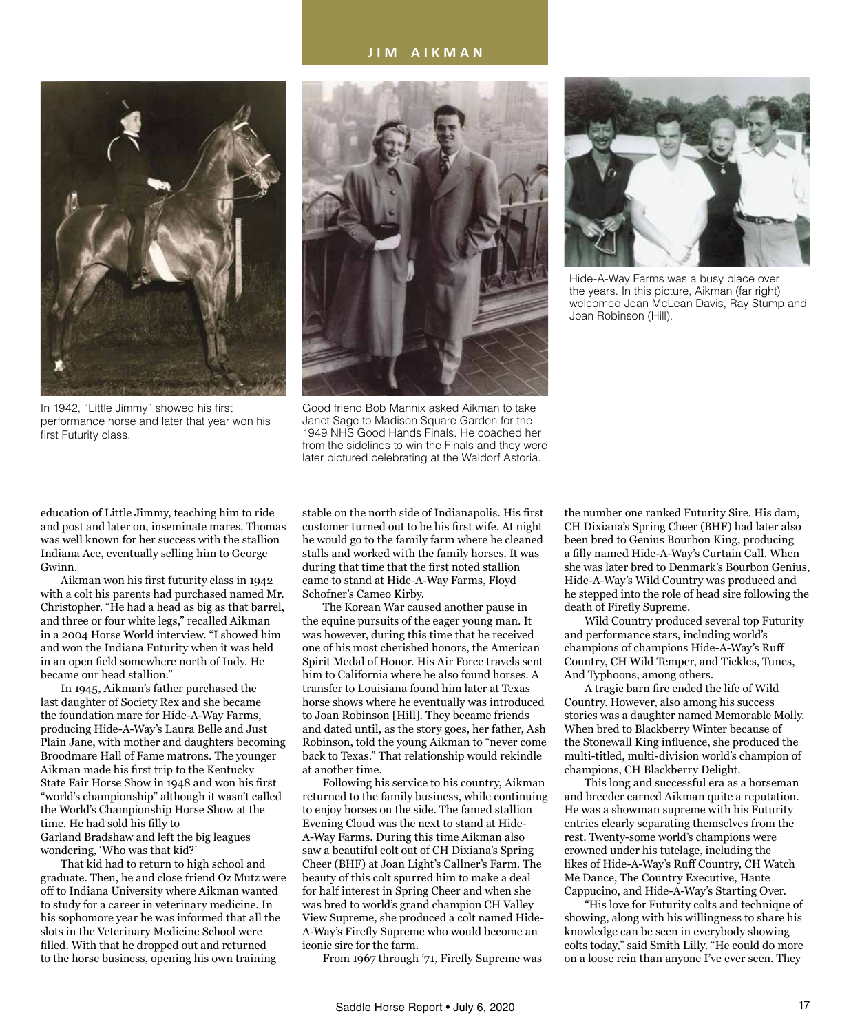## **J I M A I K M A N**



In 1942, "Little Jimmy" showed his first performance horse and later that year won his first Futurity class.



Good friend Bob Mannix asked Aikman to take Janet Sage to Madison Square Garden for the 1949 NHS Good Hands Finals. He coached her from the sidelines to win the Finals and they were later pictured celebrating at the Waldorf Astoria.



Hide-A-Way Farms was a busy place over the years. In this picture, Aikman (far right) welcomed Jean McLean Davis, Ray Stump and Joan Robinson (Hill).

education of Little Jimmy, teaching him to ride and post and later on, inseminate mares. Thomas was well known for her success with the stallion Indiana Ace, eventually selling him to George Gwinn.

 Aikman won his first futurity class in 1942 with a colt his parents had purchased named Mr. Christopher. "He had a head as big as that barrel, and three or four white legs," recalled Aikman in a 2004 Horse World interview. "I showed him and won the Indiana Futurity when it was held in an open field somewhere north of Indy. He became our head stallion."

In 1945, Aikman's father purchased the last daughter of Society Rex and she became the foundation mare for Hide-A-Way Farms, producing Hide-A-Way's Laura Belle and Just Plain Jane, with mother and daughters becoming Broodmare Hall of Fame matrons. The younger Aikman made his first trip to the Kentucky State Fair Horse Show in 1948 and won his first "world's championship" although it wasn't called the World's Championship Horse Show at the time. He had sold his filly to Garland Bradshaw and left the big leagues wondering, 'Who was that kid?'

That kid had to return to high school and graduate. Then, he and close friend Oz Mutz were off to Indiana University where Aikman wanted to study for a career in veterinary medicine. In his sophomore year he was informed that all the slots in the Veterinary Medicine School were filled. With that he dropped out and returned to the horse business, opening his own training

stable on the north side of Indianapolis. His first customer turned out to be his first wife. At night he would go to the family farm where he cleaned stalls and worked with the family horses. It was during that time that the first noted stallion came to stand at Hide-A-Way Farms, Floyd Schofner's Cameo Kirby.

The Korean War caused another pause in the equine pursuits of the eager young man. It was however, during this time that he received one of his most cherished honors, the American Spirit Medal of Honor. His Air Force travels sent him to California where he also found horses. A transfer to Louisiana found him later at Texas horse shows where he eventually was introduced to Joan Robinson [Hill]. They became friends and dated until, as the story goes, her father, Ash Robinson, told the young Aikman to "never come back to Texas." That relationship would rekindle at another time.

Following his service to his country, Aikman returned to the family business, while continuing to enjoy horses on the side. The famed stallion Evening Cloud was the next to stand at Hide-A-Way Farms. During this time Aikman also saw a beautiful colt out of CH Dixiana's Spring Cheer (BHF) at Joan Light's Callner's Farm. The beauty of this colt spurred him to make a deal for half interest in Spring Cheer and when she was bred to world's grand champion CH Valley View Supreme, she produced a colt named Hide-A-Way's Firefly Supreme who would become an iconic sire for the farm.

 From 1967 through '71, Firefly Supreme was

the number one ranked Futurity Sire. His dam, CH Dixiana's Spring Cheer (BHF) had later also been bred to Genius Bourbon King, producing a filly named Hide-A-Way's Curtain Call. When she was later bred to Denmark's Bourbon Genius, Hide-A-Way's Wild Country was produced and he stepped into the role of head sire following the death of Firefly Supreme.

Wild Country produced several top Futurity and performance stars, including world's champions of champions Hide-A-Way's Ruff Country, CH Wild Temper, and Tickles, Tunes, And Typhoons, among others.

 A tragic barn fire ended the life of Wild Country. However, also among his success stories was a daughter named Memorable Molly. When bred to Blackberry Winter because of the Stonewall King influence, she produced the multi-titled, multi-division world's champion of champions, CH Blackberry Delight.

This long and successful era as a horseman and breeder earned Aikman quite a reputation. He was a showman supreme with his Futurity entries clearly separating themselves from the rest. Twenty-some world's champions were crowned under his tutelage, including the likes of Hide-A-Way's Ruff Country, CH Watch Me Dance, The Country Executive, Haute Cappucino, and Hide-A-Way's Starting Over.

"His love for Futurity colts and technique of showing, along with his willingness to share his knowledge can be seen in everybody showing colts today," said Smith Lilly. "He could do more on a loose rein than anyone I've ever seen. They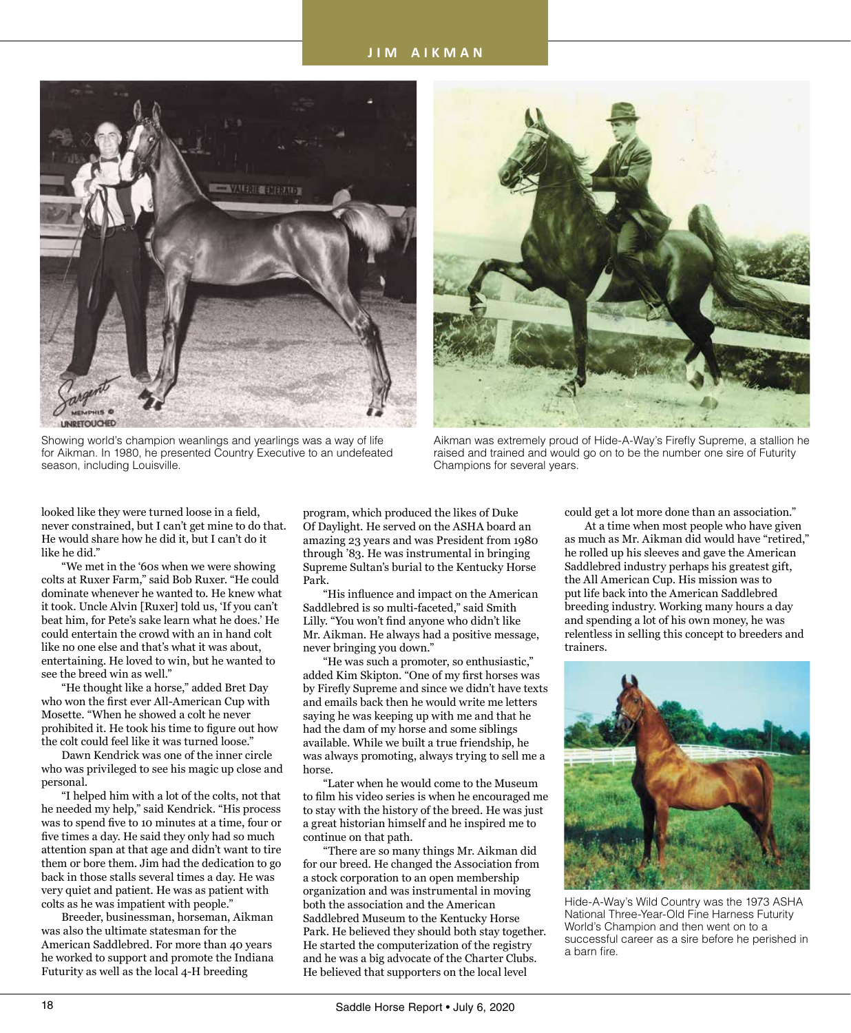## **J I M A I K M A N**



Showing world's champion weanlings and yearlings was a way of life for Aikman. In 1980, he presented Country Executive to an undefeated season, including Louisville.



Aikman was extremely proud of Hide-A-Way's Firefly Supreme, a stallion he raised and trained and would go on to be the number one sire of Futurity Champions for several years.

looked like they were turned loose in a field, never constrained, but I can't get mine to do that. He would share how he did it, but I can't do it like he did."

"We met in the '60s when we were showing colts at Ruxer Farm," said Bob Ruxer. "He could dominate whenever he wanted to. He knew what it took. Uncle Alvin [Ruxer] told us, 'If you can't beat him, for Pete's sake learn what he does.' He could entertain the crowd with an in hand colt like no one else and that's what it was about, entertaining. He loved to win, but he wanted to see the breed win as well."

"He thought like a horse," added Bret Day who won the first ever All-American Cup with Mosette. "When he showed a colt he never prohibited it. He took his time to figure out how the colt could feel like it was turned loose."

Dawn Kendrick was one of the inner circle who was privileged to see his magic up close and personal.

"I helped him with a lot of the colts, not that he needed my help," said Kendrick. "His process was to spend five to 10 minutes at a time, four or five times a day. He said they only had so much attention span at that age and didn't want to tire them or bore them. Jim had the dedication to go back in those stalls several times a day. He was very quiet and patient. He was as patient with colts as he was impatient with people."

Breeder, businessman, horseman, Aikman was also the ultimate statesman for the American Saddlebred. For more than 40 years he worked to support and promote the Indiana Futurity as well as the local 4-H breeding

program, which produced the likes of Duke Of Daylight. He served on the ASHA board an amazing 23 years and was President from 1980 through '83. He was instrumental in bringing Supreme Sultan's burial to the Kentucky Horse Park.

 "His influence and impact on the American Saddlebred is so multi-faceted," said Smith Lilly. "You won't find anyone who didn't like Mr. Aikman. He always had a positive message, never bringing you down."

"He was such a promoter, so enthusiastic," added Kim Skipton. "One of my first horses was by Firefly Supreme and since we didn't have texts and emails back then he would write me letters saying he was keeping up with me and that he had the dam of my horse and some siblings available. While we built a true friendship, he was always promoting, always trying to sell me a horse.

"Later when he would come to the Museum to film his video series is when he encouraged me to stay with the history of the breed. He was just a great historian himself and he inspired me to continue on that path.

"There are so many things Mr. Aikman did for our breed. He changed the Association from a stock corporation to an open membership organization and was instrumental in moving both the association and the American Saddlebred Museum to the Kentucky Horse Park. He believed they should both stay together. He started the computerization of the registry and he was a big advocate of the Charter Clubs. He believed that supporters on the local level

could get a lot more done than an association."

At a time when most people who have given as much as Mr. Aikman did would have "retired," he rolled up his sleeves and gave the American Saddlebred industry perhaps his greatest gift, the All American Cup. His mission was to put life back into the American Saddlebred breeding industry. Working many hours a day and spending a lot of his own money, he was relentless in selling this concept to breeders and trainers.



Hide-A-Way's Wild Country was the 1973 ASHA National Three-Year-Old Fine Harness Futurity World's Champion and then went on to a successful career as a sire before he perished in a barn fire.